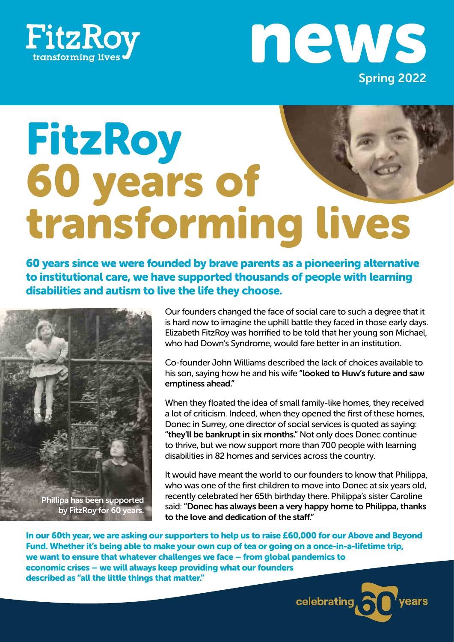



# FitzRoy<br>60 years of transforming lives

60 years since we were founded by brave parents as a pioneering alternative to institutional care, we have supported thousands of people with learning disabilities and autism to live the life they choose.



Our founders changed the face of social care to such a degree that it is hard now to imagine the uphill battle they faced in those early days. Elizabeth FitzRoy was horrified to be told that her young son Michael, who had Down's Syndrome, would fare better in an institution.

Co-founder John Williams described the lack of choices available to his son, saying how he and his wife "looked to Huw's future and saw emptiness ahead."

When they floated the idea of small family-like homes, they received a lot of criticism. Indeed, when they opened the first of these homes, Donec in Surrey, one director of social services is quoted as saying: "they'll be bankrupt in six months." Not only does Donec continue to thrive, but we now support more than 700 people with learning disabilities in 82 homes and services across the country.

It would have meant the world to our founders to know that Philippa, who was one of the first children to move into Donec at six years old, recently celebrated her 65th birthday there. Philippa's sister Caroline said: "Donec has always been a very happy home to Philippa, thanks to the love and dedication of the staff."

In our 60th year, we are asking our supporters to help us to raise £60,000 for our Above and Beyond Fund. Whether it's being able to make your own cup of tea or going on a once-in-a-lifetime trip, we want to ensure that whatever challenges we face – from global pandemics to economic crises – we will always keep providing what our founders described as "all the little things that matter."

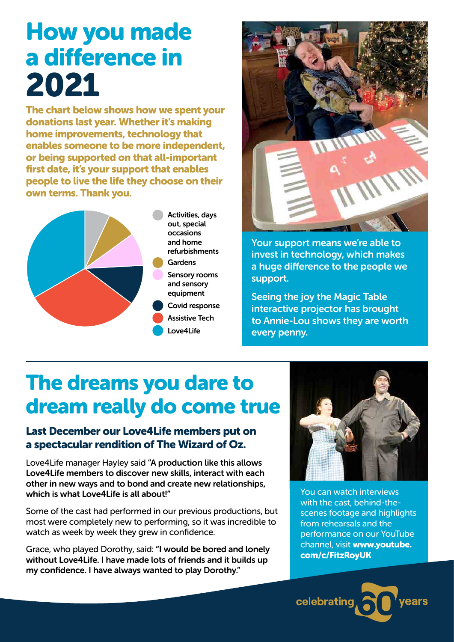# How you made a difference in 2021

The chart below shows how we spent your donations last year. Whether it's making home improvements, technology that enables someone to be more independent, or being supported on that all-important first date, it's your support that enables people to live the life they choose on their own terms. Thank you.





Your support means we're able to invest in technology, which makes a huge difference to the people we support.

Seeing the joy the Magic Table interactive projector has brought to Annie-Lou shows they are worth every penny.

# The dreams you dare to dream really do come true

#### Last December our Love4Life members put on a spectacular rendition of The Wizard of Oz.

Love4Life manager Hayley said "A production like this allows Love4Life members to discover new skills, interact with each other in new ways and to bond and create new relationships, which is what Love4Life is all about!"

Some of the cast had performed in our previous productions, but most were completely new to performing, so it was incredible to watch as week by week they grew in confidence.

Grace, who played Dorothy, said: "I would be bored and lonely without Love4Life. I have made lots of friends and it builds up my confidence. I have always wanted to play Dorothy."



You can watch interviews with the cast, behind-thescenes footage and highlights from rehearsals and the performance on our YouTube channel, visit www.youtube. com/c/FitzRoyUK

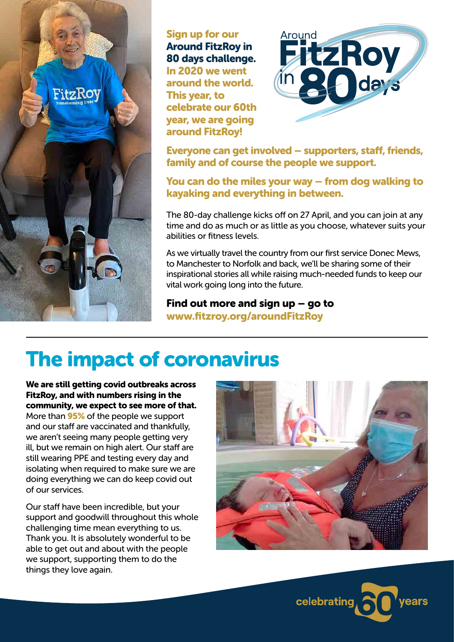

Sign up for our Around FitzRoy in 80 days challenge. In 2020 we went around the world. This year, to celebrate our 60th year, we are going around FitzRoy!



Everyone can get involved – supporters, staff, friends, family and of course the people we support.

You can do the miles your way – from dog walking to kayaking and everything in between.

The 80-day challenge kicks off on 27 April, and you can join at any time and do as much or as little as you choose, whatever suits your abilities or fitness levels.

As we virtually travel the country from our first service Donec Mews, to Manchester to Norfolk and back, we'll be sharing some of their inspirational stories all while raising much-needed funds to keep our vital work going long into the future.

Find out more and sign up – go to www.fitzroy.org/aroundFitzRoy

# The impact of coronavirus

We are still getting covid outbreaks across FitzRoy, and with numbers rising in the community, we expect to see more of that. More than **95%** of the people we support and our staff are vaccinated and thankfully, we aren't seeing many people getting very ill, but we remain on high alert. Our staff are still wearing PPE and testing every day and isolating when required to make sure we are doing everything we can do keep covid out of our services.

Our staff have been incredible, but your support and goodwill throughout this whole challenging time mean everything to us. Thank you. It is absolutely wonderful to be able to get out and about with the people we support, supporting them to do the things they love again.